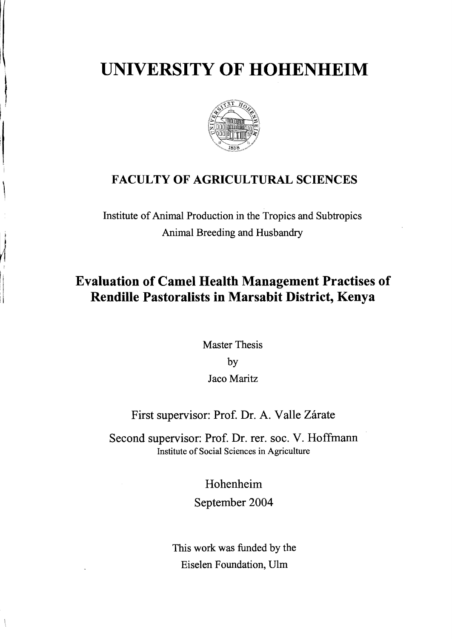# **UNIVERSITY OF HOHENHEIM**



### **FACULTY OF AGRICULTURAL SCIENCES**

Institute of Animal Production in the Tropics and Subtropics Animal Breeding and Husbandry

## **Evaluation of Camel Health Management Practises of Rendille Pastoralists in Marsabit District, Kenya**

Master Thesis by Jaco Maritz

#### First supervisor: Prof. Dr. A. Valle Zárate

Second supervisor: Prof. Dr. rer. soc. V. Hoffmann Institute of Social Sciences in Agriculture

> Hohenheim September 2004

This work was funded by the Eiselen Foundation, Ulm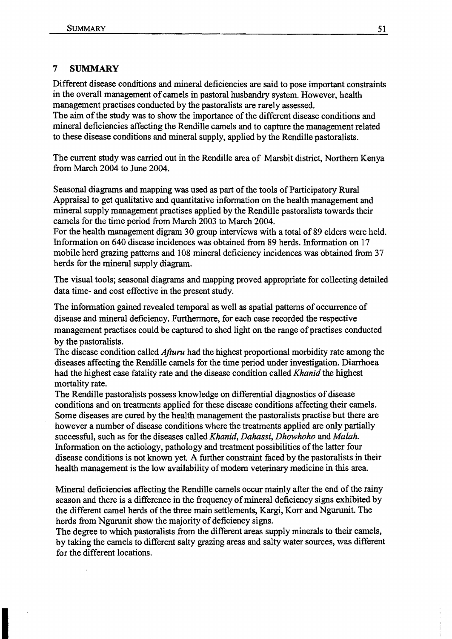#### 7 SUMMARY

Different disease conditions and mineral deficiencies are said to pose important constraints in the overall management of camels in pastoral husbandry system. However, health management practises conducted by the pastoralists are rarely assessed.

The aim of the study was to show the importance of the different disease conditions and mineral deficiencies affecting the Rendille camels and to capture the management related to these disease conditions and mineral supply, applied by the RendiIle pastoralists.

The current study was carried out in the Rendille area of Marsbit district, Northern Kenya from March 2004 to June 2004.

Seasonal diagrams and mapping was used as part of the tools of Participatory Rural Appraisal to get qualitative and quantitative information on the health management and mineral supply management practises applied by the Rendille pastoralists towards their camels for the time period from March 2003 to March 2004.

For the health management digram 30 group interviews with a total of 89 elders were held. Information on 640 disease incidences was obtained from 89 herds. Information on 17 mobile herd grazing patterns and 108 mineral deficiency incidences was obtained from 37 herds for the mineral supply diagram.

The visual tools; seasonal diagrams and mapping proved appropriate for collecting detailed data time- and cost effective in the present study.

The information gained revealed temporal as well as spatial patterns of occurrence of disease and mineral deficiency. Furthermore, for each case recorded the respective management practises could be captured to shed light on the range of practises conducted by the pastoralists.

The disease condition called *Afturu* had the highest proportional morbidity rate among the diseases affecting the Rendille camels for the time period under investigation. Diarrhoea had the highest case fatality rate and the disease condition called *Khanid* the highest mortality rate.

The Rendille pastoralists possess knowledge on differential diagnostics of disease conditions and on treatments applied for these disease conditions affecting their camels. Some diseases are cured by the health management the pastoralists practise hut there are however a number of disease conditions where the treatments applied are only partially successful, such as for the diseases called *Khanid, Dahassi, Dhowhoho* and *Malah.*  Information on the aetiology, pathology and treatment possibilities of the latter four disease conditions is not known yet. A further constraint faced by the pastoralists in their health management is the low availability of modern veterinary medicine in this area.

Mineral deficiencies affecting the Rendille camels occur mainly after the end of the rainy season and there is a difference in the frequency of mineral deficiency signs exhibited by the different camel herds of the three main settlements, Kargi, Korr and Ngurunit. The herds from Ngurunit show the majority of deficiency signs.

The degree to which pastoralists from the different areas supply minerals to their camels, by taking the camels to different salty grazing areas and salty water sourees, was different for the different locations.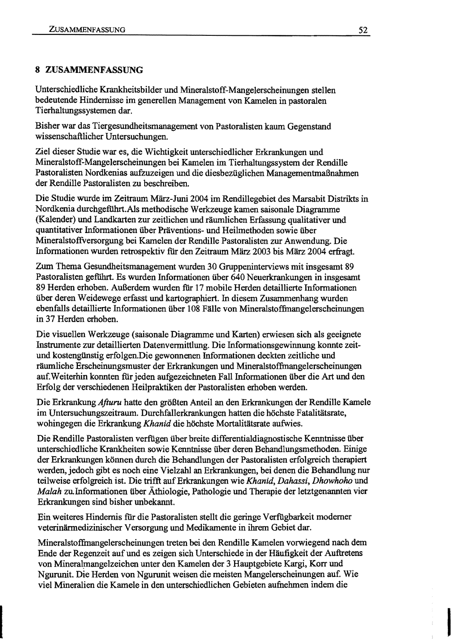#### 8 ZUSAMMENFASSUNG

Unterschiedliche Krankheitsbilder und Mineralstoff-Mangelerscheinungen stellen bedeutende Hindernisse im generellen Management von Kamelen in pastoralen Tierhaltungssystemen dar.

Bisher war das Tiergesundheitsmanagement von Pastoralisten kaum Gegenstand wissenschaftlicher Untersuchungen.

Ziel dieser Studie war es, die Wichtigkeit unterschiedlicher Erkrankungen und Mineralstoff-Mangelerscheinungen bei Kamelen im Tierhaltungssystem der Rendille Pastoralisten Nordkenias aufzuzeigen und die diesbezüglichen Managementmaßnahmen der Rendille Pastoralisten zu beschreiben.

Die Studie wurde im Zeitraum März-Juni 2004 im Rendillegebiet des Marsabit Distrikts in Nordkenia durchgeführt.A1s methodische Werkzeuge kamen saisonale Diagramme (Kalender) und Landkarten zur zeitlichen und räumlichen Erfassung qualitativer und quantitativer Informationen über Präventions- und Heilmethoden sowie über Mineralstoffversorgung bei Kamelen der Rendille Pastoralisten zur Anwendung. Die Infonnationen wurden retrospektiv fiir den Zeitraum März 2003 bis März 2004 erfragt.

Zum Thema Gesundheitsmanagement wurden 30 Gruppeninterviews mit insgesamt 89 Pastoralisten geführt. Es wurden Informationen über 640 Neuerkrankungen in insgesamt 89 Herden erhoben. Außerdem wurden für 17 mobile Herden detaillierte Informationen über deren Weidewege erfasst und kartographiert. In diesem Zusammenhang wurden ebenfalls detaillierte Informationen über 108 Fälle von Mineralstoffmangelerscheinungen in 37 Herden erhoben.

Die visuellen Werkzeuge (saisonale Diagramme und Karten) erwiesen sich als geeignete Instrumente zur detaillierten Datenvermittlung. Die Informationsgewinnung konnte zeitund kostengünstig erfolgen.Die gewonnenen Informationen deckten zeitliche und räumliche Erscheinungsmuster der Erkrankungen und Mineralstoffinangelerscheinungen auf.Weiterhin konnten fiir jeden aufgezeichneten Fall Informationen über die Art und den Erfolg der verschiedenen Heilpraktiken der Pastoralisten erhoben werden.

Die Erkrankung *Afturu* hatte den größten Anteil an den Erkrankungen der Rendille Kamele im Untersuchungszeitraum. Durchfallerkrankungen hatten die höchste Fatalitätsrate, wohingegen die Erkrankung *Khanid* die höchste Mortalitätsrate aufwies.

Die Rendille Pastoralisten verfügen über breite differentialdiagnostische Kenntnisse über unterschiedliche Krankheiten sowie Kenntnisse über deren Behandlungsmethoden. Einige der Erkrankungen können durch die Behandlungen der Pastoralisten erfolgreich therapiert werden, jedoch gibt es noch eine Vielzahl an Erkrankungen, bei denen die Behandlung nur teilweise erfolgreich ist. Die trifft auf Erkrankungen wie *Khanid, Dahassi, Dhowhoho* und *Malah* zu.Informationen über Äthiologie, Pathologie und Therapie der letztgenannten vier Erkrankungen sind bisher unbekannt.

Ein weiteres Hindernis fiir die Pastoralisten stellt die geringe Verfügbarkeit moderner veterinärmedizinischer Versorgung und Medikamente in ihrem Gebiet dar.

Mineralstoffmangelerscheinungen treten bei den Rendille Kamelen vorwiegend nach dem Ende der Regenzeit auf und es zeigen sich Unterschiede in der Häufigkeit der Auftretens von Mineralmangelzeichen unter den Kamelen der 3 Hauptgebiete Kargi, Korr und Ngurunit. Die Herden von Ngurunit weisen die meisten Mangelerscheinungen auf. Wie viel Mineralien die Kamele in den unterschiedlichen Gebieten aufnehmen indem die

I I